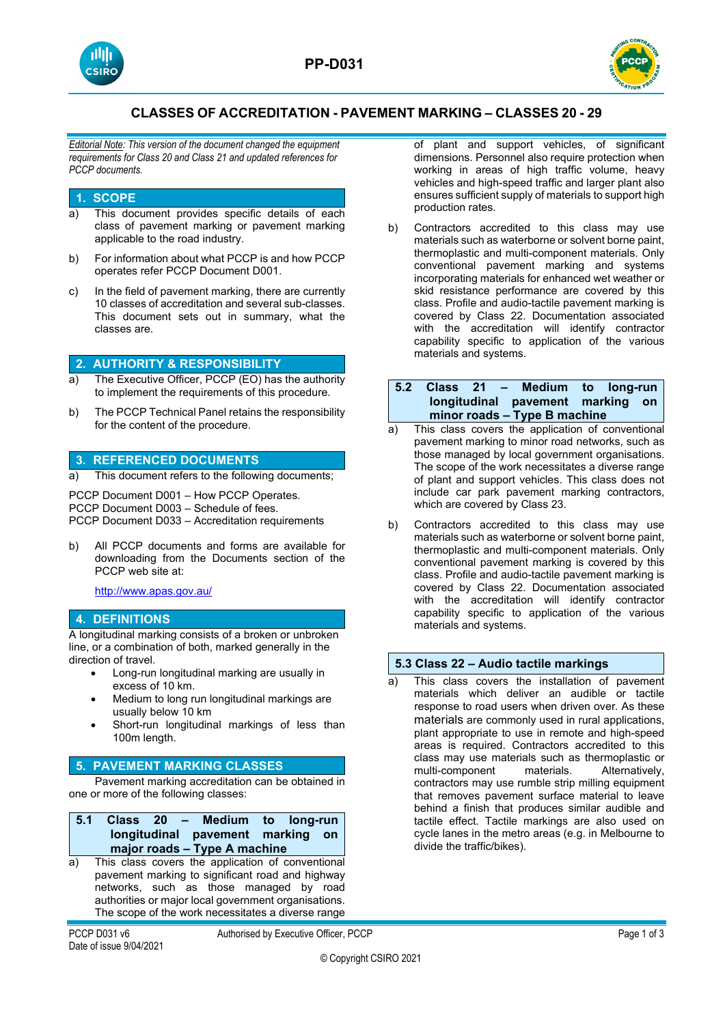



# **CLASSES OF ACCREDITATION - PAVEMENT MARKING – CLASSES 20 - 29**

*Editorial Note: This version of the document changed the equipment requirements for Class 20 and Class 21 and updated references for PCCP documents.*

## **1. SCOPE**

- a) This document provides specific details of each class of pavement marking or pavement marking applicable to the road industry.
- b) For information about what PCCP is and how PCCP operates refer PCCP Document D001.
- c) In the field of pavement marking, there are currently 10 classes of accreditation and several sub-classes. This document sets out in summary, what the classes are.

# **2. AUTHORITY & RESPONSIBILITY**

- a) The Executive Officer, PCCP (EO) has the authority to implement the requirements of this procedure.
- b) The PCCP Technical Panel retains the responsibility for the content of the procedure.

## **3. REFERENCED DOCUMENTS**

a) This document refers to the following documents;

PCCP Document D001 – How PCCP Operates. PCCP Document D003 – Schedule of fees. PCCP Document D033 – Accreditation requirements

b) All PCCP documents and forms are available for downloading from the Documents section of the PCCP web site at:

<http://www.apas.gov.au/>

## **4. DEFINITIONS**

A longitudinal marking consists of a broken or unbroken line, or a combination of both, marked generally in the direction of travel.

- Long-run longitudinal marking are usually in excess of 10 km.
- Medium to long run longitudinal markings are usually below 10 km
- Short-run longitudinal markings of less than 100m length.

#### **5. PAVEMENT MARKING CLASSES**

Pavement marking accreditation can be obtained in one or more of the following classes:

|                              |  |  |  |  | 5.1 Class 20 – Medium to long-run |  |  |  |
|------------------------------|--|--|--|--|-----------------------------------|--|--|--|
|                              |  |  |  |  | longitudinal pavement marking on  |  |  |  |
| major roads - Type A machine |  |  |  |  |                                   |  |  |  |
|                              |  |  |  |  |                                   |  |  |  |

a) This class covers the application of conventional pavement marking to significant road and highway networks, such as those managed by road authorities or major local government organisations. The scope of the work necessitates a diverse range

PCCP D031 v6 **Authorised by Executive Officer, PCCP** Page 1 of 3

of plant and support vehicles, of significant dimensions. Personnel also require protection when working in areas of high traffic volume, heavy vehicles and high-speed traffic and larger plant also ensures sufficient supply of materials to support high production rates.

b) Contractors accredited to this class may use materials such as waterborne or solvent borne paint, thermoplastic and multi-component materials. Only conventional pavement marking and systems incorporating materials for enhanced wet weather or skid resistance performance are covered by this class. Profile and audio-tactile pavement marking is covered by Class 22. Documentation associated with the accreditation will identify contractor capability specific to application of the various materials and systems.

### **5.2 Class 21 – Medium to long-run longitudinal pavement marking on minor roads – Type B machine**

- a) This class covers the application of conventional pavement marking to minor road networks, such as those managed by local government organisations. The scope of the work necessitates a diverse range of plant and support vehicles. This class does not include car park pavement marking contractors, which are covered by Class 23.
- b) Contractors accredited to this class may use materials such as waterborne or solvent borne paint, thermoplastic and multi-component materials. Only conventional pavement marking is covered by this class. Profile and audio-tactile pavement marking is covered by Class 22. Documentation associated with the accreditation will identify contractor capability specific to application of the various materials and systems.

#### **5.3 Class 22 – Audio tactile markings**

a) This class covers the installation of pavement materials which deliver an audible or tactile response to road users when driven over. As these materials are commonly used in rural applications, plant appropriate to use in remote and high-speed areas is required. Contractors accredited to this class may use materials such as thermoplastic or multi-component materials. Alternatively, contractors may use rumble strip milling equipment that removes pavement surface material to leave behind a finish that produces similar audible and tactile effect. Tactile markings are also used on cycle lanes in the metro areas (e.g. in Melbourne to divide the traffic/bikes).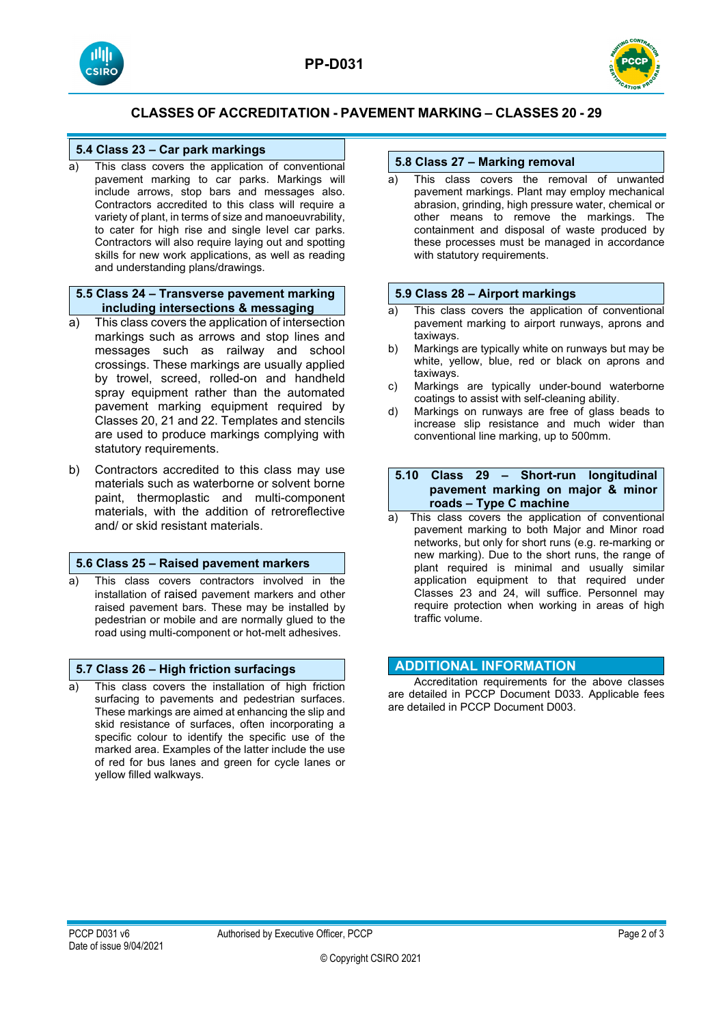



# **CLASSES OF ACCREDITATION - PAVEMENT MARKING – CLASSES 20 - 29**

## **5.4 Class 23 – Car park markings**

a) This class covers the application of conventional pavement marking to car parks. Markings will include arrows, stop bars and messages also. Contractors accredited to this class will require a variety of plant, in terms of size and manoeuvrability, to cater for high rise and single level car parks. Contractors will also require laying out and spotting skills for new work applications, as well as reading and understanding plans/drawings.

#### **5.5 Class 24 – Transverse pavement marking including intersections & messaging**

- a) This class covers the application of intersection markings such as arrows and stop lines and messages such as railway and school crossings. These markings are usually applied by trowel, screed, rolled-on and handheld spray equipment rather than the automated pavement marking equipment required by Classes 20, 21 and 22. Templates and stencils are used to produce markings complying with statutory requirements.
- b) Contractors accredited to this class may use materials such as waterborne or solvent borne paint, thermoplastic and multi-component materials, with the addition of retroreflective and/ or skid resistant materials.

#### **5.6 Class 25 – Raised pavement markers**

a) This class covers contractors involved in the installation of raised pavement markers and other raised pavement bars. These may be installed by pedestrian or mobile and are normally glued to the road using multi-component or hot-melt adhesives.

## **5.7 Class 26 – High friction surfacings**

a) This class covers the installation of high friction surfacing to pavements and pedestrian surfaces. These markings are aimed at enhancing the slip and skid resistance of surfaces, often incorporating a specific colour to identify the specific use of the marked area. Examples of the latter include the use of red for bus lanes and green for cycle lanes or yellow filled walkways.

## **5.8 Class 27 – Marking removal**

a) This class covers the removal of unwanted pavement markings. Plant may employ mechanical abrasion, grinding, high pressure water, chemical or other means to remove the markings. The containment and disposal of waste produced by these processes must be managed in accordance with statutory requirements.

#### **5.9 Class 28 – Airport markings**

- a) This class covers the application of conventional pavement marking to airport runways, aprons and taxiways.
- b) Markings are typically white on runways but may be white, yellow, blue, red or black on aprons and taxiways.
- c) Markings are typically under-bound waterborne coatings to assist with self-cleaning ability.
- d) Markings on runways are free of glass beads to increase slip resistance and much wider than conventional line marking, up to 500mm.

#### **5.10 Class 29 – Short-run longitudinal pavement marking on major & minor roads – Type C machine**

This class covers the application of conventional pavement marking to both Major and Minor road networks, but only for short runs (e.g. re-marking or new marking). Due to the short runs, the range of plant required is minimal and usually similar application equipment to that required under Classes 23 and 24, will suffice. Personnel may require protection when working in areas of high traffic volume.

### **ADDITIONAL INFORMATION**

Accreditation requirements for the above classes are detailed in PCCP Document D033. Applicable fees are detailed in PCCP Document D003.